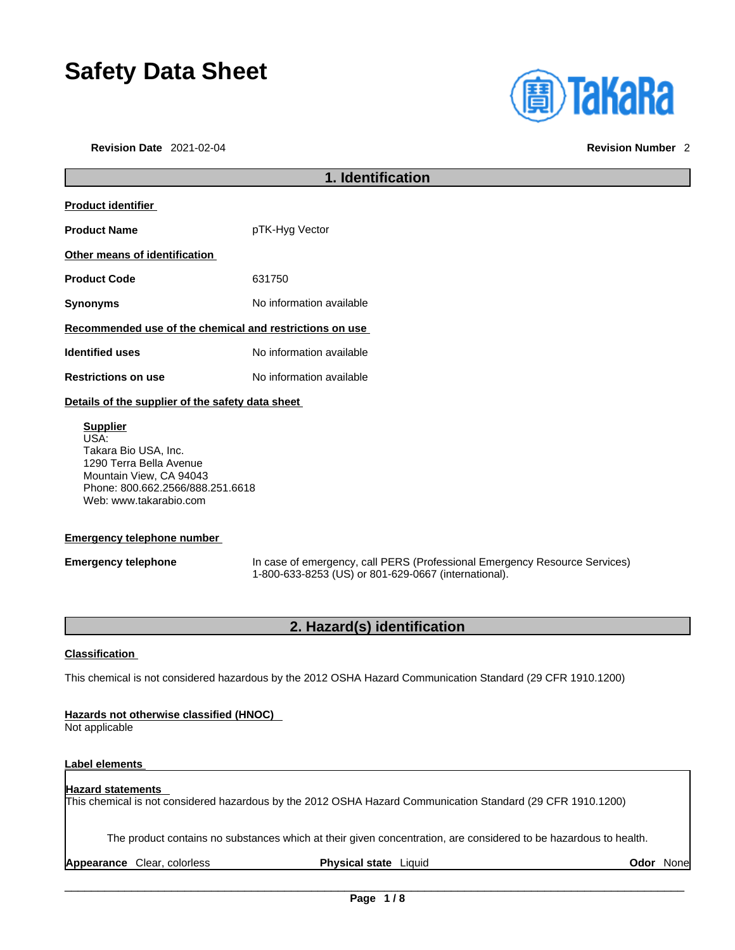# **Safety Data Sheet**

**Revision Date** 2021-02-04 **Revision Number** 2

| <b>(A)TaKaRa</b> |  |  |
|------------------|--|--|
|                  |  |  |
|                  |  |  |
|                  |  |  |

# **1. Identification Product identifier Product Name** pTK-Hyg Vector **Other means of identification Product Code** 631750 **Synonyms** No information available **Recommended use of the chemical and restrictions on use Identified uses** No information available **Restrictions on use** No information available **Details of the supplier of the safety data sheet**

**Supplier** USA: Takara Bio USA, Inc. 1290 Terra Bella Avenue Mountain View, CA 94043 Phone: 800.662.2566/888.251.6618 Web: www.takarabio.com

### **Emergency telephone number**

**Emergency telephone** In case of emergency, call PERS (Professional Emergency Resource Services) 1-800-633-8253 (US) or 801-629-0667 (international).

### **2. Hazard(s) identification**

### **Classification**

This chemical is not considered hazardous by the 2012 OSHA Hazard Communication Standard (29 CFR 1910.1200)

### **Hazards not otherwise classified (HNOC)**

Not applicable

### **Label elements**

#### **Hazard statements**  This chemical is not considered hazardous by the 2012 OSHA Hazard Communication Standard (29 CFR 1910.1200)

The product contains no substances which at their given concentration, are considered to be hazardous to health.

**Appearance** Clear, colorless **Physical state** Liquid **Odor** None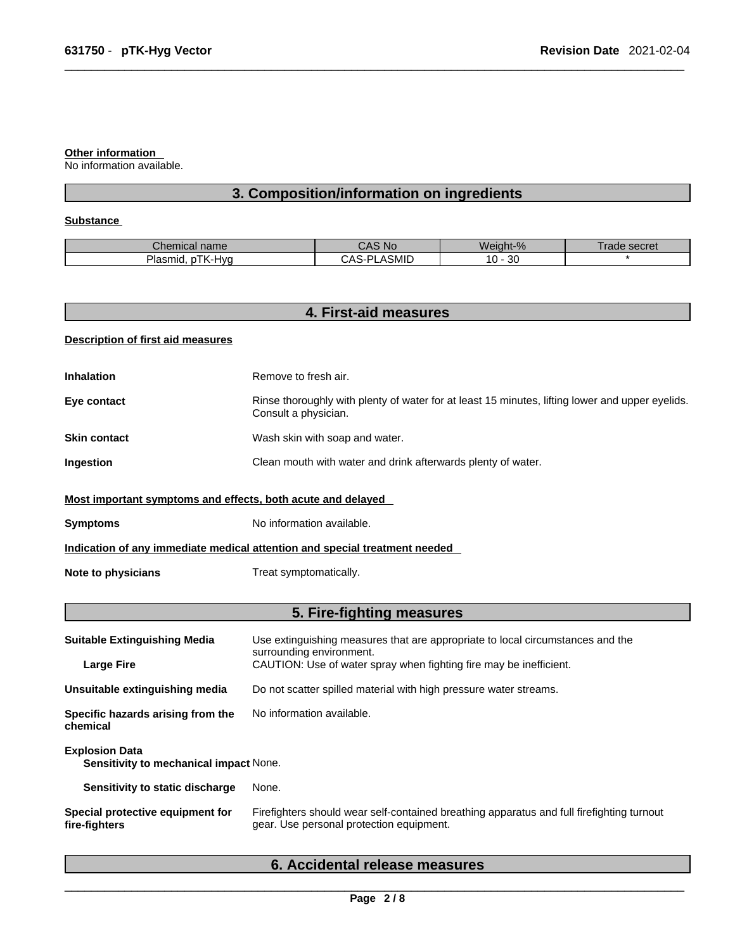#### **Other information**

No information available.

# **3. Composition/information on ingredients**

### **Substance**

| name<br>UITEITIIU AI                   | No                               | $M_{\rm c}$<br>eight-% | <b>COO</b> rat<br>ag<br><b>SELIEL</b> |
|----------------------------------------|----------------------------------|------------------------|---------------------------------------|
| (-Hvr<br>nocr<br>nıa.<br>יונז<br>ιαδιι | .<br>יר<br>ົ ^ ຕ<br>' ASMIL<br>v | n o<br>٠U٠<br>ು        |                                       |

| <b>Description of first aid measures</b><br><b>Inhalation</b><br>Eye contact<br><b>Skin contact</b> | Remove to fresh air.<br>Rinse thoroughly with plenty of water for at least 15 minutes, lifting lower and upper eyelids.<br>Consult a physician. |
|-----------------------------------------------------------------------------------------------------|-------------------------------------------------------------------------------------------------------------------------------------------------|
|                                                                                                     |                                                                                                                                                 |
|                                                                                                     |                                                                                                                                                 |
|                                                                                                     |                                                                                                                                                 |
|                                                                                                     | Wash skin with soap and water.                                                                                                                  |
| Ingestion                                                                                           | Clean mouth with water and drink afterwards plenty of water.                                                                                    |
| Most important symptoms and effects, both acute and delayed                                         |                                                                                                                                                 |
| <b>Symptoms</b>                                                                                     | No information available.                                                                                                                       |
|                                                                                                     | Indication of any immediate medical attention and special treatment needed                                                                      |
| <b>Note to physicians</b>                                                                           | Treat symptomatically.                                                                                                                          |
|                                                                                                     | 5. Fire-fighting measures                                                                                                                       |
| <b>Suitable Extinguishing Media</b>                                                                 | Use extinguishing measures that are appropriate to local circumstances and the<br>surrounding environment.                                      |
| <b>Large Fire</b>                                                                                   | CAUTION: Use of water spray when fighting fire may be inefficient.                                                                              |
| Unsuitable extinguishing media                                                                      | Do not scatter spilled material with high pressure water streams.                                                                               |
| Specific hazards arising from the<br>chemical                                                       | No information available.                                                                                                                       |
| <b>Explosion Data</b><br>Sensitivity to mechanical impact None.                                     |                                                                                                                                                 |
| Sensitivity to static discharge                                                                     | None.                                                                                                                                           |
| Special protective equipment for<br>fire-fighters                                                   | Firefighters should wear self-contained breathing apparatus and full firefighting turnout<br>gear. Use personal protection equipment.           |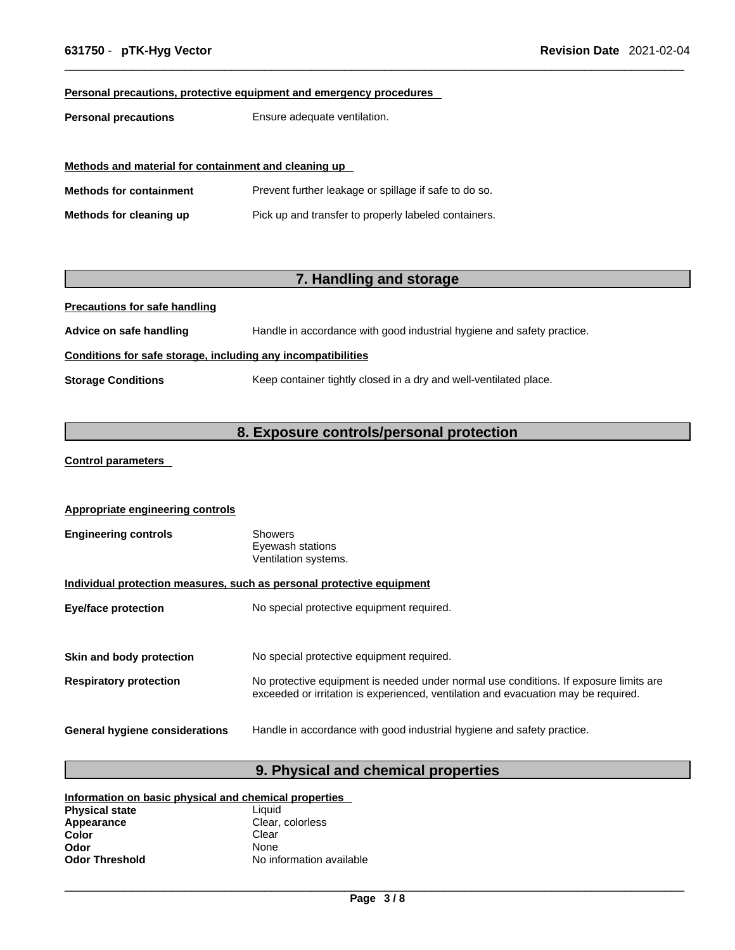### **Personal precautions, protective equipment and emergency procedures**

**Personal precautions** Ensure adequate ventilation.

| Methods and material for containment and cleaning up |                                                       |  |
|------------------------------------------------------|-------------------------------------------------------|--|
| <b>Methods for containment</b>                       | Prevent further leakage or spillage if safe to do so. |  |
| Methods for cleaning up                              | Pick up and transfer to properly labeled containers.  |  |

## **7. Handling and storage**

**Precautions for safe handling**

**Advice on safe handling** Handle in accordance with good industrial hygiene and safety practice.

### **Conditions for safe storage, including any incompatibilities**

**Storage Conditions** Keep container tightly closed in a dry and well-ventilated place.

## **8. Exposure controls/personal protection**

### **Control parameters**

| <b>Appropriate engineering controls</b>                               |                                                                                                                                                                             |  |
|-----------------------------------------------------------------------|-----------------------------------------------------------------------------------------------------------------------------------------------------------------------------|--|
| <b>Engineering controls</b>                                           | <b>Showers</b><br>Eyewash stations<br>Ventilation systems.                                                                                                                  |  |
| Individual protection measures, such as personal protective equipment |                                                                                                                                                                             |  |
| <b>Eye/face protection</b>                                            | No special protective equipment required.                                                                                                                                   |  |
|                                                                       |                                                                                                                                                                             |  |
| Skin and body protection                                              | No special protective equipment required.                                                                                                                                   |  |
| <b>Respiratory protection</b>                                         | No protective equipment is needed under normal use conditions. If exposure limits are<br>exceeded or irritation is experienced, ventilation and evacuation may be required. |  |
| General hygiene considerations                                        | Handle in accordance with good industrial hygiene and safety practice.                                                                                                      |  |

### **9. Physical and chemical properties**

| Information on basic physical and chemical properties |                          |  |
|-------------------------------------------------------|--------------------------|--|
| <b>Physical state</b>                                 | Liauid                   |  |
| Appearance                                            | Clear, colorless         |  |
| Color                                                 | Clear                    |  |
| Odor                                                  | <b>None</b>              |  |
| <b>Odor Threshold</b>                                 | No information available |  |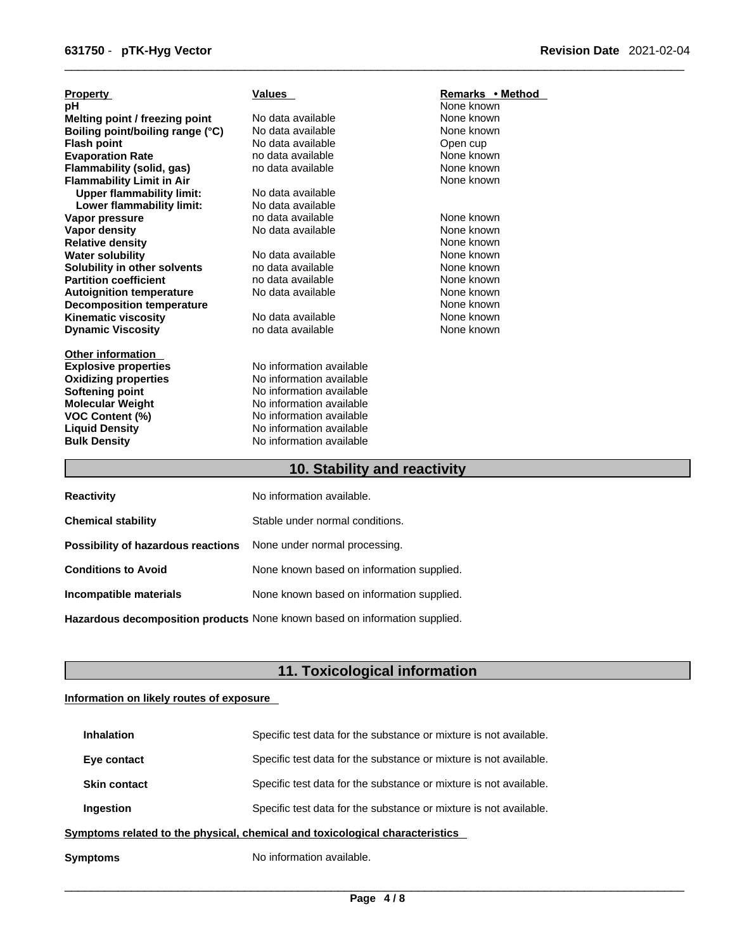| <b>Property</b>                  | <b>Values</b>                | Remarks • Method |  |
|----------------------------------|------------------------------|------------------|--|
| рH                               |                              | None known       |  |
| Melting point / freezing point   | No data available            | None known       |  |
| Boiling point/boiling range (°C) | No data available            | None known       |  |
| <b>Flash point</b>               | No data available            | Open cup         |  |
| <b>Evaporation Rate</b>          | no data available            | None known       |  |
| Flammability (solid, gas)        | no data available            | None known       |  |
| <b>Flammability Limit in Air</b> |                              | None known       |  |
| <b>Upper flammability limit:</b> | No data available            |                  |  |
| Lower flammability limit:        | No data available            |                  |  |
| Vapor pressure                   | no data available            | None known       |  |
| Vapor density                    | No data available            | None known       |  |
| <b>Relative density</b>          |                              | None known       |  |
| <b>Water solubility</b>          | No data available            | None known       |  |
| Solubility in other solvents     | no data available            | None known       |  |
| <b>Partition coefficient</b>     | no data available            | None known       |  |
| <b>Autoignition temperature</b>  | No data available            | None known       |  |
| <b>Decomposition temperature</b> |                              | None known       |  |
| <b>Kinematic viscosity</b>       | No data available            | None known       |  |
| <b>Dynamic Viscosity</b>         | no data available            | None known       |  |
| <b>Other information</b>         |                              |                  |  |
| <b>Explosive properties</b>      | No information available     |                  |  |
| <b>Oxidizing properties</b>      | No information available     |                  |  |
| <b>Softening point</b>           | No information available     |                  |  |
| <b>Molecular Weight</b>          | No information available     |                  |  |
| <b>VOC Content (%)</b>           | No information available     |                  |  |
| <b>Liquid Density</b>            | No information available     |                  |  |
| <b>Bulk Density</b>              | No information available     |                  |  |
|                                  | 10. Stability and reactivity |                  |  |

| <b>Reactivity</b>                  | No information available.                                                  |
|------------------------------------|----------------------------------------------------------------------------|
| <b>Chemical stability</b>          | Stable under normal conditions.                                            |
| Possibility of hazardous reactions | None under normal processing.                                              |
| <b>Conditions to Avoid</b>         | None known based on information supplied.                                  |
| Incompatible materials             | None known based on information supplied.                                  |
|                                    | Hazardous decomposition products None known based on information supplied. |

# **11. Toxicological information**

### **Information on likely routes of exposure**

| Symptoms                                                                     | No information available.                                         |  |
|------------------------------------------------------------------------------|-------------------------------------------------------------------|--|
| Symptoms related to the physical, chemical and toxicological characteristics |                                                                   |  |
| Ingestion                                                                    | Specific test data for the substance or mixture is not available. |  |
| <b>Skin contact</b>                                                          | Specific test data for the substance or mixture is not available. |  |
| Eye contact                                                                  | Specific test data for the substance or mixture is not available. |  |
| <b>Inhalation</b>                                                            | Specific test data for the substance or mixture is not available. |  |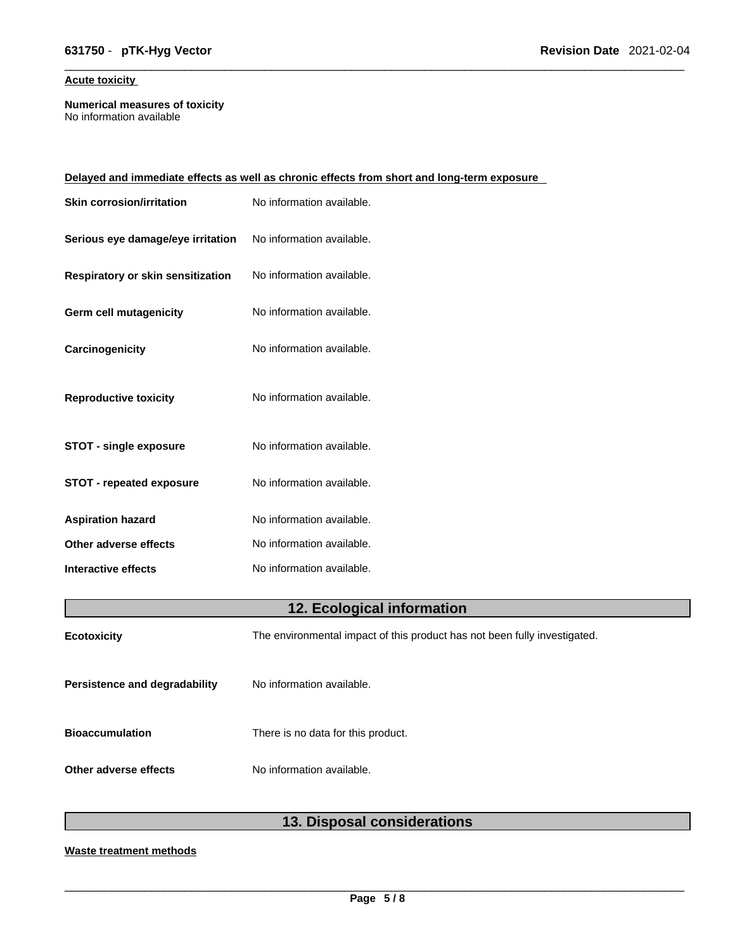### **Acute toxicity**

**Numerical measures of toxicity** No information available

| Delayed and immediate effects as well as chronic effects from short and long-term exposure |                           |  |
|--------------------------------------------------------------------------------------------|---------------------------|--|
| <b>Skin corrosion/irritation</b>                                                           | No information available. |  |
| Serious eye damage/eye irritation                                                          | No information available. |  |
| Respiratory or skin sensitization                                                          | No information available. |  |
| Germ cell mutagenicity                                                                     | No information available. |  |
| Carcinogenicity                                                                            | No information available. |  |
| <b>Reproductive toxicity</b>                                                               | No information available. |  |
| <b>STOT - single exposure</b>                                                              | No information available. |  |
| <b>STOT - repeated exposure</b>                                                            | No information available. |  |
| <b>Aspiration hazard</b>                                                                   | No information available. |  |
| Other adverse effects                                                                      | No information available. |  |
| <b>Interactive effects</b>                                                                 | No information available. |  |
|                                                                                            |                           |  |

# **12. Ecological information**

| <b>Ecotoxicity</b>                   | The environmental impact of this product has not been fully investigated. |
|--------------------------------------|---------------------------------------------------------------------------|
| <b>Persistence and degradability</b> | No information available.                                                 |
| <b>Bioaccumulation</b>               | There is no data for this product.                                        |
| Other adverse effects                | No information available.                                                 |

# **13. Disposal considerations**

### **Waste treatment methods**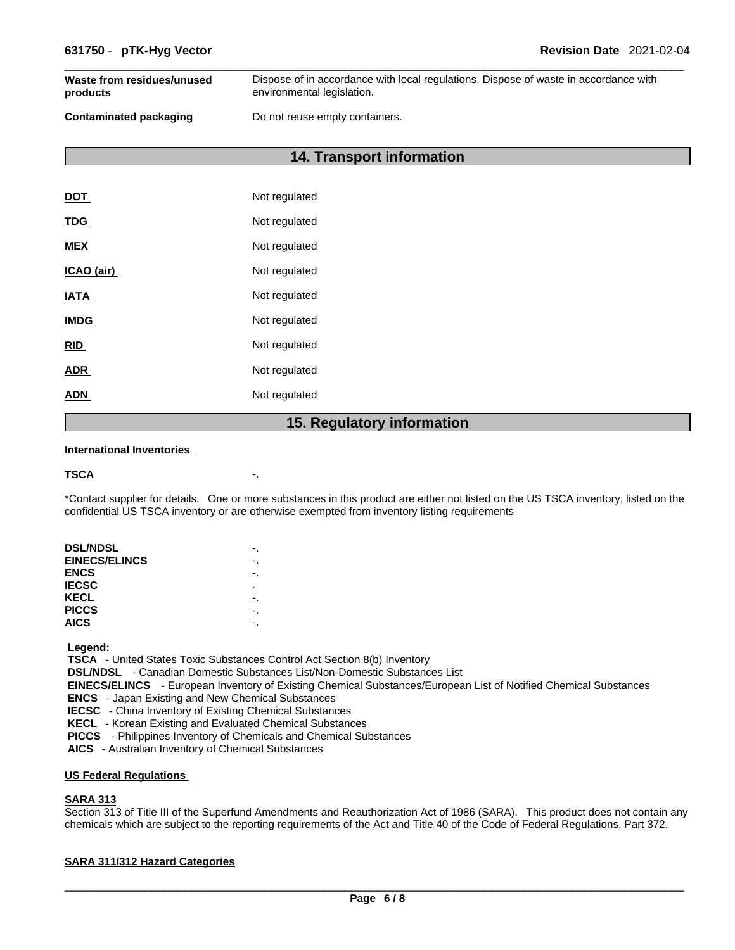| Waste from residues/unused    | Dispose of in accordance with local regulations. Dispose of waste in accordance with |
|-------------------------------|--------------------------------------------------------------------------------------|
| products                      | environmental legislation.                                                           |
| <b>Contaminated packaging</b> | Do not reuse empty containers.                                                       |

**14. Transport information** 

| <b>DOT</b>  | Not regulated |
|-------------|---------------|
| <b>TDG</b>  | Not regulated |
| <b>MEX</b>  | Not regulated |
| ICAO (air)  | Not regulated |
| <b>IATA</b> | Not regulated |
| <b>IMDG</b> | Not regulated |
| <b>RID</b>  | Not regulated |
| <b>ADR</b>  | Not regulated |
| ADN         | Not regulated |
|             |               |

### **15. Regulatory information**

### **International Inventories**

```
TSCA -.
```
\*Contact supplier for details. One or more substances in this product are either not listed on the US TSCA inventory, listed on the confidential US TSCA inventory or are otherwise exempted from inventory listing requirements

| <b>DSL/NDSL</b>      |   |
|----------------------|---|
| <b>EINECS/ELINCS</b> |   |
| <b>ENCS</b>          |   |
| <b>IECSC</b>         | ٠ |
| KECL                 |   |
| <b>PICCS</b>         |   |
| <b>AICS</b>          |   |
|                      |   |

 **Legend:** 

 **TSCA** - United States Toxic Substances Control Act Section 8(b) Inventory

 **DSL/NDSL** - Canadian Domestic Substances List/Non-Domestic Substances List

 **EINECS/ELINCS** - European Inventory of Existing Chemical Substances/European List of Notified Chemical Substances

 **ENCS** - Japan Existing and New Chemical Substances

 **IECSC** - China Inventory of Existing Chemical Substances

 **KECL** - Korean Existing and Evaluated Chemical Substances

 **PICCS** - Philippines Inventory of Chemicals and Chemical Substances

 **AICS** - Australian Inventory of Chemical Substances

### **US Federal Regulations**

### **SARA 313**

Section 313 of Title III of the Superfund Amendments and Reauthorization Act of 1986 (SARA). This product does not contain any chemicals which are subject to the reporting requirements of the Act and Title 40 of the Code of Federal Regulations, Part 372.

### **SARA 311/312 Hazard Categories**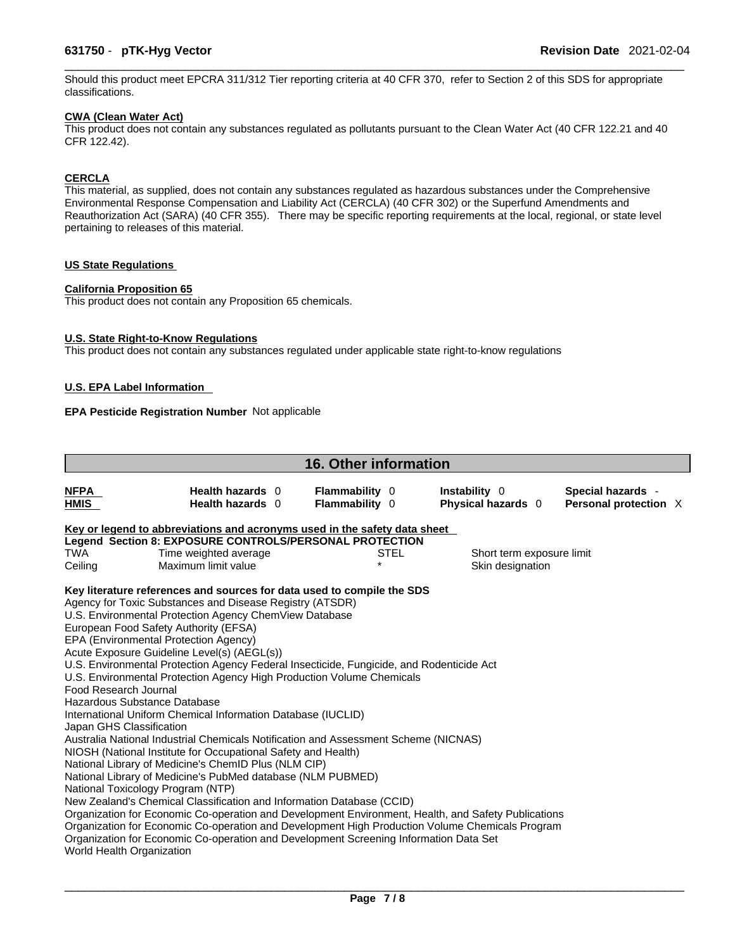Should this product meet EPCRA 311/312 Tier reporting criteria at 40 CFR 370, refer to Section 2 of this SDS for appropriate classifications.

### **CWA (Clean WaterAct)**

This product does not contain any substances regulated as pollutants pursuant to the Clean Water Act (40 CFR 122.21 and 40 CFR 122.42).

### **CERCLA**

This material, as supplied, does not contain any substances regulated as hazardous substances under the Comprehensive Environmental Response Compensation and Liability Act (CERCLA) (40 CFR 302) or the Superfund Amendments and Reauthorization Act (SARA) (40 CFR 355). There may be specific reporting requirements at the local, regional, or state level pertaining to releases of this material.

### **US State Regulations**

### **California Proposition 65**

This product does not contain any Proposition 65 chemicals.

### **U.S. State Right-to-Know Regulations**

This product does not contain any substances regulated under applicable state right-to-know regulations

### **U.S. EPA Label Information**

### **EPA Pesticide Registration Number** Not applicable

|                            |                                                                                                                       | <b>16. Other information</b>                   |                                            |                                            |  |
|----------------------------|-----------------------------------------------------------------------------------------------------------------------|------------------------------------------------|--------------------------------------------|--------------------------------------------|--|
| <b>NFPA</b><br><b>HMIS</b> | Health hazards 0<br>Health hazards 0                                                                                  | <b>Flammability 0</b><br><b>Flammability</b> 0 | Instability 0<br><b>Physical hazards</b> 0 | Special hazards -<br>Personal protection X |  |
|                            | Key or legend to abbreviations and acronyms used in the safety data sheet                                             |                                                |                                            |                                            |  |
|                            | Legend Section 8: EXPOSURE CONTROLS/PERSONAL PROTECTION                                                               |                                                |                                            |                                            |  |
| <b>TWA</b>                 | Time weighted average                                                                                                 | STEL                                           |                                            | Short term exposure limit                  |  |
| Ceiling                    | Maximum limit value                                                                                                   | $\star$                                        |                                            | Skin designation                           |  |
|                            | Key literature references and sources for data used to compile the SDS                                                |                                                |                                            |                                            |  |
|                            | Agency for Toxic Substances and Disease Registry (ATSDR)                                                              |                                                |                                            |                                            |  |
|                            | U.S. Environmental Protection Agency ChemView Database                                                                |                                                |                                            |                                            |  |
|                            | European Food Safety Authority (EFSA)                                                                                 |                                                |                                            |                                            |  |
|                            | EPA (Environmental Protection Agency)                                                                                 |                                                |                                            |                                            |  |
|                            | Acute Exposure Guideline Level(s) (AEGL(s))                                                                           |                                                |                                            |                                            |  |
|                            | U.S. Environmental Protection Agency Federal Insecticide, Fungicide, and Rodenticide Act                              |                                                |                                            |                                            |  |
|                            | U.S. Environmental Protection Agency High Production Volume Chemicals                                                 |                                                |                                            |                                            |  |
| Food Research Journal      |                                                                                                                       |                                                |                                            |                                            |  |
|                            | Hazardous Substance Database                                                                                          |                                                |                                            |                                            |  |
|                            | International Uniform Chemical Information Database (IUCLID)                                                          |                                                |                                            |                                            |  |
| Japan GHS Classification   |                                                                                                                       |                                                |                                            |                                            |  |
|                            | Australia National Industrial Chemicals Notification and Assessment Scheme (NICNAS)                                   |                                                |                                            |                                            |  |
|                            | NIOSH (National Institute for Occupational Safety and Health)<br>National Library of Medicine's ChemID Plus (NLM CIP) |                                                |                                            |                                            |  |
|                            | National Library of Medicine's PubMed database (NLM PUBMED)                                                           |                                                |                                            |                                            |  |
|                            | National Toxicology Program (NTP)                                                                                     |                                                |                                            |                                            |  |
|                            | New Zealand's Chemical Classification and Information Database (CCID)                                                 |                                                |                                            |                                            |  |
|                            | Organization for Economic Co-operation and Development Environment, Health, and Safety Publications                   |                                                |                                            |                                            |  |
|                            | Organization for Economic Co-operation and Development High Production Volume Chemicals Program                       |                                                |                                            |                                            |  |
|                            | Organization for Economic Co-operation and Development Screening Information Data Set                                 |                                                |                                            |                                            |  |
| World Health Organization  |                                                                                                                       |                                                |                                            |                                            |  |
|                            |                                                                                                                       |                                                |                                            |                                            |  |